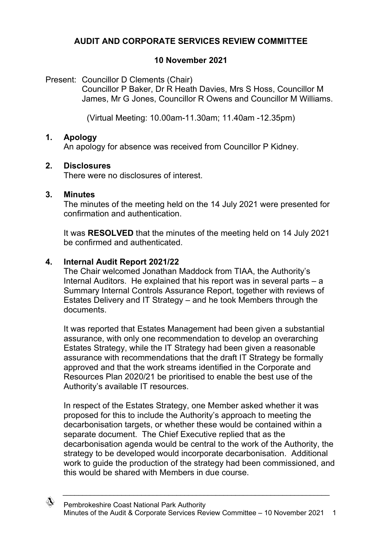# **AUDIT AND CORPORATE SERVICES REVIEW COMMITTEE**

# **10 November 2021**

Present: Councillor D Clements (Chair)

Councillor P Baker, Dr R Heath Davies, Mrs S Hoss, Councillor M James, Mr G Jones, Councillor R Owens and Councillor M Williams.

(Virtual Meeting: 10.00am-11.30am; 11.40am -12.35pm)

### **1. Apology**

An apology for absence was received from Councillor P Kidney.

## **2. Disclosures**

There were no disclosures of interest.

### **3. Minutes**

The minutes of the meeting held on the 14 July 2021 were presented for confirmation and authentication.

It was **RESOLVED** that the minutes of the meeting held on 14 July 2021 be confirmed and authenticated.

## **4. Internal Audit Report 2021/22**

The Chair welcomed Jonathan Maddock from TIAA, the Authority's Internal Auditors. He explained that his report was in several parts – a Summary Internal Controls Assurance Report, together with reviews of Estates Delivery and IT Strategy – and he took Members through the documents.

It was reported that Estates Management had been given a substantial assurance, with only one recommendation to develop an overarching Estates Strategy, while the IT Strategy had been given a reasonable assurance with recommendations that the draft IT Strategy be formally approved and that the work streams identified in the Corporate and Resources Plan 2020/21 be prioritised to enable the best use of the Authority's available IT resources.

In respect of the Estates Strategy, one Member asked whether it was proposed for this to include the Authority's approach to meeting the decarbonisation targets, or whether these would be contained within a separate document. The Chief Executive replied that as the decarbonisation agenda would be central to the work of the Authority, the strategy to be developed would incorporate decarbonisation. Additional work to guide the production of the strategy had been commissioned, and this would be shared with Members in due course.

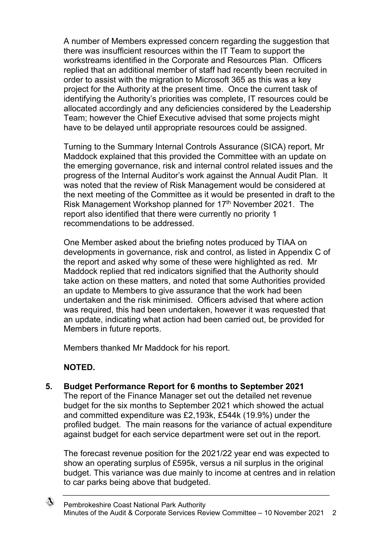A number of Members expressed concern regarding the suggestion that there was insufficient resources within the IT Team to support the workstreams identified in the Corporate and Resources Plan. Officers replied that an additional member of staff had recently been recruited in order to assist with the migration to Microsoft 365 as this was a key project for the Authority at the present time. Once the current task of identifying the Authority's priorities was complete, IT resources could be allocated accordingly and any deficiencies considered by the Leadership Team; however the Chief Executive advised that some projects might have to be delayed until appropriate resources could be assigned.

Turning to the Summary Internal Controls Assurance (SICA) report, Mr Maddock explained that this provided the Committee with an update on the emerging governance, risk and internal control related issues and the progress of the Internal Auditor's work against the Annual Audit Plan. It was noted that the review of Risk Management would be considered at the next meeting of the Committee as it would be presented in draft to the Risk Management Workshop planned for  $17<sup>th</sup>$  November 2021. The report also identified that there were currently no priority 1 recommendations to be addressed.

One Member asked about the briefing notes produced by TIAA on developments in governance, risk and control, as listed in Appendix C of the report and asked why some of these were highlighted as red. Mr Maddock replied that red indicators signified that the Authority should take action on these matters, and noted that some Authorities provided an update to Members to give assurance that the work had been undertaken and the risk minimised. Officers advised that where action was required, this had been undertaken, however it was requested that an update, indicating what action had been carried out, be provided for Members in future reports.

Members thanked Mr Maddock for his report.

# **NOTED.**

**5. Budget Performance Report for 6 months to September 2021**

The report of the Finance Manager set out the detailed net revenue budget for the six months to September 2021 which showed the actual and committed expenditure was £2,193k, £544k (19.9%) under the profiled budget. The main reasons for the variance of actual expenditure against budget for each service department were set out in the report.

The forecast revenue position for the 2021/22 year end was expected to show an operating surplus of £595k, versus a nil surplus in the original budget. This variance was due mainly to income at centres and in relation to car parks being above that budgeted.

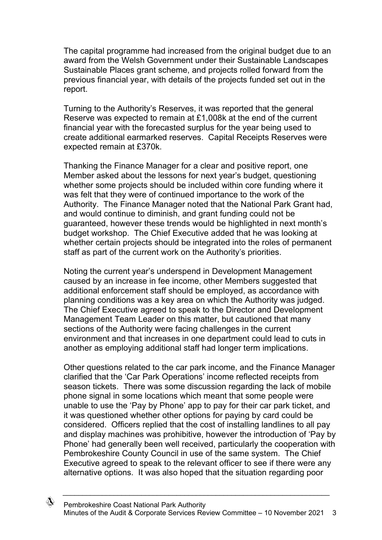The capital programme had increased from the original budget due to an award from the Welsh Government under their Sustainable Landscapes Sustainable Places grant scheme, and projects rolled forward from the previous financial year, with details of the projects funded set out in the report.

Turning to the Authority's Reserves, it was reported that the general Reserve was expected to remain at £1,008k at the end of the current financial year with the forecasted surplus for the year being used to create additional earmarked reserves. Capital Receipts Reserves were expected remain at £370k.

Thanking the Finance Manager for a clear and positive report, one Member asked about the lessons for next year's budget, questioning whether some projects should be included within core funding where it was felt that they were of continued importance to the work of the Authority. The Finance Manager noted that the National Park Grant had, and would continue to diminish, and grant funding could not be guaranteed, however these trends would be highlighted in next month's budget workshop. The Chief Executive added that he was looking at whether certain projects should be integrated into the roles of permanent staff as part of the current work on the Authority's priorities.

Noting the current year's underspend in Development Management caused by an increase in fee income, other Members suggested that additional enforcement staff should be employed, as accordance with planning conditions was a key area on which the Authority was judged. The Chief Executive agreed to speak to the Director and Development Management Team Leader on this matter, but cautioned that many sections of the Authority were facing challenges in the current environment and that increases in one department could lead to cuts in another as employing additional staff had longer term implications.

Other questions related to the car park income, and the Finance Manager clarified that the 'Car Park Operations' income reflected receipts from season tickets. There was some discussion regarding the lack of mobile phone signal in some locations which meant that some people were unable to use the 'Pay by Phone' app to pay for their car park ticket, and it was questioned whether other options for paying by card could be considered. Officers replied that the cost of installing landlines to all pay and display machines was prohibitive, however the introduction of 'Pay by Phone' had generally been well received, particularly the cooperation with Pembrokeshire County Council in use of the same system. The Chief Executive agreed to speak to the relevant officer to see if there were any alternative options. It was also hoped that the situation regarding poor

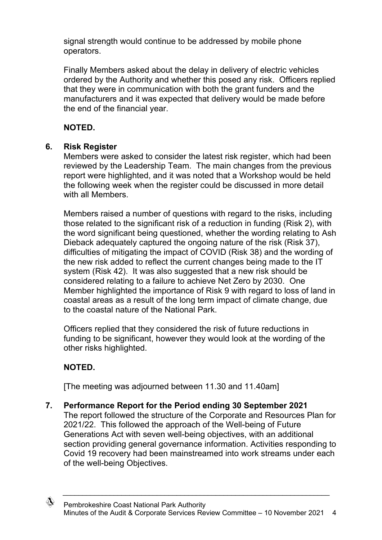signal strength would continue to be addressed by mobile phone operators.

Finally Members asked about the delay in delivery of electric vehicles ordered by the Authority and whether this posed any risk. Officers replied that they were in communication with both the grant funders and the manufacturers and it was expected that delivery would be made before the end of the financial year.

**NOTED.**

# **6. Risk Register**

Members were asked to consider the latest risk register, which had been reviewed by the Leadership Team. The main changes from the previous report were highlighted, and it was noted that a Workshop would be held the following week when the register could be discussed in more detail with all Members.

Members raised a number of questions with regard to the risks, including those related to the significant risk of a reduction in funding (Risk 2), with the word significant being questioned, whether the wording relating to Ash Dieback adequately captured the ongoing nature of the risk (Risk 37), difficulties of mitigating the impact of COVID (Risk 38) and the wording of the new risk added to reflect the current changes being made to the IT system (Risk 42). It was also suggested that a new risk should be considered relating to a failure to achieve Net Zero by 2030. One Member highlighted the importance of Risk 9 with regard to loss of land in coastal areas as a result of the long term impact of climate change, due to the coastal nature of the National Park.

Officers replied that they considered the risk of future reductions in funding to be significant, however they would look at the wording of the other risks highlighted.

# **NOTED.**

[The meeting was adjourned between 11.30 and 11.40am]

**7. Performance Report for the Period ending 30 September 2021**

The report followed the structure of the Corporate and Resources Plan for 2021/22. This followed the approach of the Well-being of Future Generations Act with seven well-being objectives, with an additional section providing general governance information. Activities responding to Covid 19 recovery had been mainstreamed into work streams under each of the well-being Objectives.

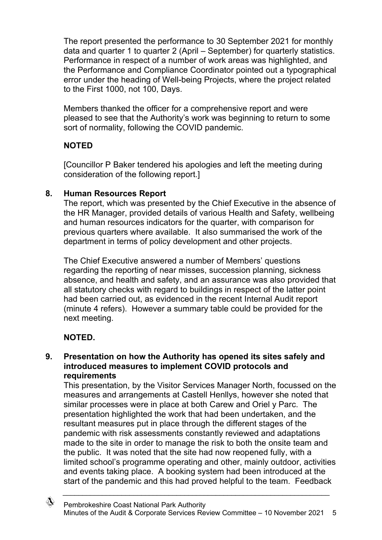The report presented the performance to 30 September 2021 for monthly data and quarter 1 to quarter 2 (April – September) for quarterly statistics. Performance in respect of a number of work areas was highlighted, and the Performance and Compliance Coordinator pointed out a typographical error under the heading of Well-being Projects, where the project related to the First 1000, not 100, Days.

Members thanked the officer for a comprehensive report and were pleased to see that the Authority's work was beginning to return to some sort of normality, following the COVID pandemic.

# **NOTED**

[Councillor P Baker tendered his apologies and left the meeting during consideration of the following report.]

## **8. Human Resources Report**

The report, which was presented by the Chief Executive in the absence of the HR Manager, provided details of various Health and Safety, wellbeing and human resources indicators for the quarter, with comparison for previous quarters where available. It also summarised the work of the department in terms of policy development and other projects.

The Chief Executive answered a number of Members' questions regarding the reporting of near misses, succession planning, sickness absence, and health and safety, and an assurance was also provided that all statutory checks with regard to buildings in respect of the latter point had been carried out, as evidenced in the recent Internal Audit report (minute 4 refers). However a summary table could be provided for the next meeting.

# **NOTED.**

### **9. Presentation on how the Authority has opened its sites safely and introduced measures to implement COVID protocols and requirements**

This presentation, by the Visitor Services Manager North, focussed on the measures and arrangements at Castell Henllys, however she noted that similar processes were in place at both Carew and Oriel y Parc. The presentation highlighted the work that had been undertaken, and the resultant measures put in place through the different stages of the pandemic with risk assessments constantly reviewed and adaptations made to the site in order to manage the risk to both the onsite team and the public. It was noted that the site had now reopened fully, with a limited school's programme operating and other, mainly outdoor, activities and events taking place. A booking system had been introduced at the start of the pandemic and this had proved helpful to the team. Feedback